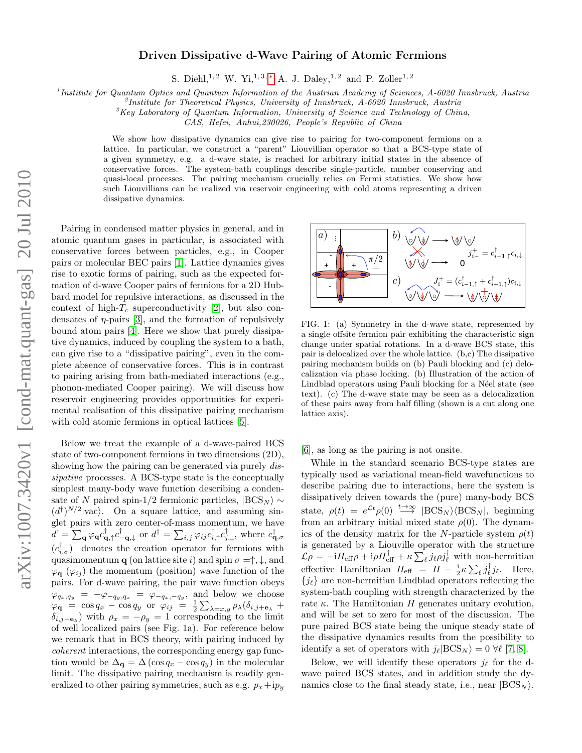## Driven Dissipative d-Wave Pairing of Atomic Fermions

S. Diehl,<sup>1, 2</sup> W. Yi,<sup>1, 3,</sup> \* A. J. Daley,<sup>1, 2</sup> and P. Zoller<sup>1, 2</sup>

<sup>1</sup>Institute for Quantum Optics and Quantum Information of the Austrian Academy of Sciences, A-6020 Innsbruck, Austria

 $^{2}$ Institute for Theoretical Physics, University of Innsbruck, A-6020 Innsbruck, Austria

 ${}^3$ Key Laboratory of Quantum Information, University of Science and Technology of China,

CAS, Hefei, Anhui,230026, People's Republic of China

We show how dissipative dynamics can give rise to pairing for two-component fermions on a lattice. In particular, we construct a "parent" Liouvillian operator so that a BCS-type state of a given symmetry, e.g. a d-wave state, is reached for arbitrary initial states in the absence of conservative forces. The system-bath couplings describe single-particle, number conserving and quasi-local processes. The pairing mechanism crucially relies on Fermi statistics. We show how such Liouvillians can be realized via reservoir engineering with cold atoms representing a driven dissipative dynamics.

Pairing in condensed matter physics in general, and in atomic quantum gases in particular, is associated with conservative forces between particles, e.g., in Cooper pairs or molecular BEC pairs [\[1\]](#page-3-1). Lattice dynamics gives rise to exotic forms of pairing, such as the expected formation of d-wave Cooper pairs of fermions for a 2D Hubbard model for repulsive interactions, as discussed in the context of high- $T_c$  superconductivity [\[2\]](#page-3-2), but also condensates of  $\eta$ -pairs [\[3\]](#page-3-3), and the formation of repulsively bound atom pairs [\[4\]](#page-3-4). Here we show that purely dissipative dynamics, induced by coupling the system to a bath, can give rise to a "dissipative pairing", even in the complete absence of conservative forces. This is in contrast to pairing arising from bath-mediated interactions (e.g., phonon-mediated Cooper pairing). We will discuss how reservoir engineering provides opportunities for experimental realisation of this dissipative pairing mechanism with cold atomic fermions in optical lattices [\[5\]](#page-3-5).

Below we treat the example of a d-wave-paired BCS state of two-component fermions in two dimensions (2D), showing how the pairing can be generated via purely *dis*sipative processes. A BCS-type state is the conceptually simplest many-body wave function describing a condensate of N paired spin-1/2 fermionic particles,  $|BCS_N\rangle \sim$  $(d^{\dagger})^{N/2}|\text{vac}\rangle$ . On a square lattice, and assuming singlet pairs with zero center-of-mass momentum, we have  $\vec{d}^{\dagger} = \sum_{\mathbf{q}} \varphi_{\mathbf{q}} c_{\mathbf{q},\uparrow}^{\dagger} c_{-\mathbf{q},\downarrow}^{\dagger}$  or  $d^{\dagger} = \sum_{i,j} \varphi_{ij} c_{i,\uparrow}^{\dagger} c_{j,\downarrow}^{\dagger}$ , where  $c_{\mathbf{q},\sigma}^{\dagger}$  $(c^{\dagger}_{i,\sigma})$  denotes the creation operator for fermions with quasimomentum **q** (on lattice site i) and spin  $\sigma = \uparrow, \downarrow$ , and  $\varphi_{\bf q}$  ( $\varphi_{ii}$ ) the momentum (position) wave function of the pairs. For d-wave pairing, the pair wave function obeys  $\varphi_{q_x,q_y} = -\varphi_{-q_y,q_x} = \varphi_{-q_x,-q_y}$ , and below we choose  $\varphi$ **q** = cos q<sub>x</sub> - cos q<sub>y</sub> or  $\varphi_{ij}$  =  $\frac{1}{2} \sum_{\lambda=x,y} \rho_{\lambda} (\delta_{i,j+e_{\lambda}} +$  $\delta_{i,j-\mathbf{e}_{\lambda}}$ ) with  $\rho_x = -\rho_y = 1$  corresponding to the limit of well localized pairs (see Fig. 1a). For reference below we remark that in BCS theory, with pairing induced by coherent interactions, the corresponding energy gap function would be  $\Delta_{\mathbf{q}} = \Delta (\cos q_x - \cos q_y)$  in the molecular limit. The dissipative pairing mechanism is readily generalized to other pairing symmetries, such as e.g.  $p_x+ip_y$ 



FIG. 1: (a) Symmetry in the d-wave state, represented by a single offsite fermion pair exhibiting the characteristic sign change under spatial rotations. In a d-wave BCS state, this pair is delocalized over the whole lattice. (b,c) The dissipative pairing mechanism builds on (b) Pauli blocking and (c) delocalization via phase locking. (b) Illustration of the action of Lindblad operators using Pauli blocking for a Néel state (see text). (c) The d-wave state may be seen as a delocalization of these pairs away from half filling (shown is a cut along one lattice axis).

[\[6\]](#page-3-6), as long as the pairing is not onsite.

While in the standard scenario BCS-type states are typically used as variational mean-field wavefunctions to describe pairing due to interactions, here the system is dissipatively driven towards the (pure) many-body BCS state,  $\rho(t) = e^{\mathcal{L}t}\rho(0) \stackrel{t\to\infty}{\longrightarrow} |\text{BCS}_N\rangle \langle \text{BCS}_N|$ , beginning from an arbitrary initial mixed state  $\rho(0)$ . The dynamics of the density matrix for the N-particle system  $\rho(t)$ is generated by a Liouville operator with the structure  $\mathcal{L}\rho = -iH_{\text{eff}}\rho + i\rho H_{\text{eff}}^{\dagger} + \kappa \sum_{\ell} j_{\ell}\rho j_{\ell}^{\dagger}$  with non-hermitian effective Hamiltonian  $H_{\text{eff}} = H - \frac{1}{2} \kappa \sum_{\ell} j_{\ell}^{\dagger} j_{\ell}$ . Here,  ${j_\ell}$  are non-hermitian Lindblad operators reflecting the system-bath coupling with strength characterized by the rate  $\kappa$ . The Hamiltonian H generates unitary evolution, and will be set to zero for most of the discussion. The pure paired BCS state being the unique steady state of the dissipative dynamics results from the possibility to identify a set of operators with  $j_{\ell}|\text{BCS}_N\rangle = 0 \ \forall \ell \ [7, 8].$  $j_{\ell}|\text{BCS}_N\rangle = 0 \ \forall \ell \ [7, 8].$  $j_{\ell}|\text{BCS}_N\rangle = 0 \ \forall \ell \ [7, 8].$  $j_{\ell}|\text{BCS}_N\rangle = 0 \ \forall \ell \ [7, 8].$ 

Below, we will identify these operators  $j_{\ell}$  for the dwave paired BCS states, and in addition study the dynamics close to the final steady state, i.e., near  $|BCS_N\rangle$ .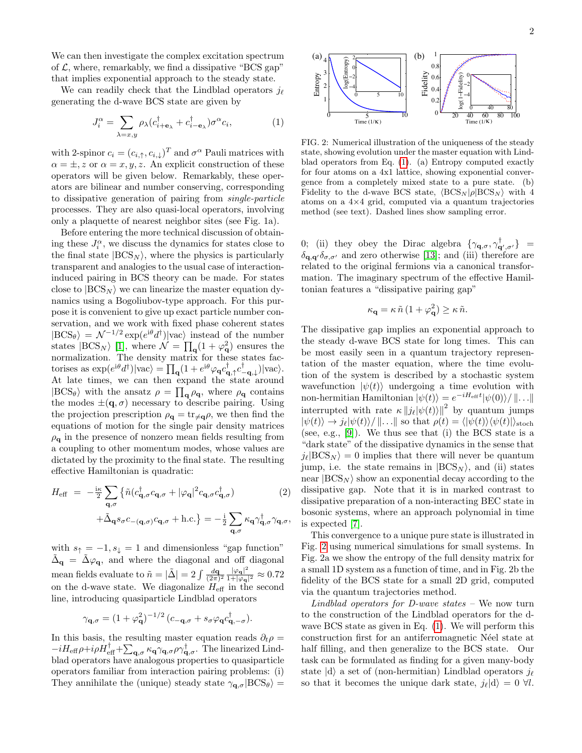We can then investigate the complex excitation spectrum of  $\mathcal{L}$ , where, remarkably, we find a dissipative "BCS gap" that implies exponential approach to the steady state.

We can readily check that the Lindblad operators  $j_{\ell}$ generating the d-wave BCS state are given by

<span id="page-1-0"></span>
$$
J_i^{\alpha} = \sum_{\lambda = x, y} \rho_{\lambda} (c_{i + \mathbf{e}_{\lambda}}^{\dagger} + c_{i - \mathbf{e}_{\lambda}}^{\dagger}) \sigma^{\alpha} c_i, \tag{1}
$$

with 2-spinor  $c_i = (c_{i,\uparrow}, c_{i,\downarrow})^T$  and  $\sigma^{\alpha}$  Pauli matrices with  $\alpha = \pm, z$  or  $\alpha = x, y, z$ . An explicit construction of these operators will be given below. Remarkably, these operators are bilinear and number conserving, corresponding to dissipative generation of pairing from single-particle processes. They are also quasi-local operators, involving only a plaquette of nearest neighbor sites (see Fig. 1a).

Before entering the more technical discussion of obtaining these  $J_i^{\alpha}$ , we discuss the dynamics for states close to the final state  $|BCS_N\rangle$ , where the physics is particularly transparent and analogies to the usual case of interactioninduced pairing in BCS theory can be made. For states close to  $|BCS_N\rangle$  we can linearize the master equation dynamics using a Bogoliubov-type approach. For this purpose it is convenient to give up exact particle number conservation, and we work with fixed phase coherent states  $|BCS_{\theta}\rangle = \mathcal{N}^{-1/2} \exp(e^{i\theta} d^{\dagger}) |vac\rangle$  instead of the number states  $|BCS_N\rangle$  [\[1\]](#page-3-1), where  $\mathcal{N} = \prod_q (1 + \varphi_q^2)$  ensures the normalization. The density matrix for these states factorises as  $\exp(e^{i\theta}d^{\dagger})|\text{vac}\rangle = \prod_{\mathbf{q}}(1 + e^{i\theta}\varphi_{\mathbf{q}}c^{\dagger}_{\mathbf{q},\uparrow}c^{\dagger}_{-\mathbf{q},\downarrow})|\text{vac}\rangle.$ At late times, we can then expand the state around  $|BCS_{\theta}\rangle$  with the ansatz  $\rho = \prod_{\mathbf{q}} \rho_{\mathbf{q}}$ , where  $\rho_{\mathbf{q}}$  contains the modes  $\pm(\mathbf{q},\sigma)$  necessary to describe pairing. Using the projection prescription  $\rho_{q} = \text{tr}_{\neq q} \rho$ , we then find the equations of motion for the single pair density matrices  $\rho_{q}$  in the presence of nonzero mean fields resulting from a coupling to other momentum modes, whose values are dictated by the proximity to the final state. The resulting effective Hamiltonian is quadratic:

$$
H_{\text{eff}} = -\frac{\mathrm{i}\kappa}{2} \sum_{\mathbf{q},\sigma} \left\{ \tilde{n} (c_{\mathbf{q},\sigma}^{\dagger} c_{\mathbf{q},\sigma} + |\varphi_{\mathbf{q}}|^2 c_{\mathbf{q},\sigma} c_{\mathbf{q},\sigma}^{\dagger}) \right. \tag{2}
$$

$$
+ \tilde{\Delta}_{\mathbf{q}} s_{\sigma} c_{-(\mathbf{q},\sigma)} c_{\mathbf{q},\sigma} + \text{h.c.} \right\} = -\frac{\mathrm{i}}{2} \sum_{\mathbf{q},\sigma} \kappa_{\mathbf{q}} \gamma_{\mathbf{q},\sigma}^{\dagger} \gamma_{\mathbf{q},\sigma},
$$

with  $s_{\uparrow} = -1, s_{\downarrow} = 1$  and dimensionless "gap function"  $\tilde{\Delta}_{\mathbf{q}} = \tilde{\Delta}\varphi_{\mathbf{q}},$  and where the diagonal and off diagonal mean fields evaluate to  $\tilde{n} = |\tilde{\Delta}| = 2 \int \frac{d\mathbf{q}}{(2\pi)^2} \frac{|\varphi_{\mathbf{q}}|^2}{1+|\varphi_{\mathbf{q}}|}$  $\frac{|\varphi_{\mathbf{q}}|}{1+|\varphi_{\mathbf{q}}|^2} \approx 0.72$ on the d-wave state. We diagonalize  $H_{\text{eff}}$  in the second line, introducing quasiparticle Lindblad operators

$$
\gamma_{\mathbf{q},\sigma} = (1 + \varphi_{\mathbf{q}}^2)^{-1/2} (c_{-\mathbf{q},\sigma} + s_{\sigma} \varphi_{\mathbf{q}} c_{\mathbf{q},-\sigma}^{\dagger}).
$$

In this basis, the resulting master equation reads  $\partial_t \rho =$  $-iH_{\text{eff}}\rho+i\rho H_{\text{eff}}^{\dagger}+\sum_{\mathbf{q},\sigma}\kappa_{\mathbf{q}}\gamma_{\mathbf{q},\sigma}\rho\gamma_{\mathbf{q},\sigma}^{\dagger}$ . The linearized Lindblad operators have analogous properties to quasiparticle operators familiar from interaction pairing problems: (i) They annihilate the (unique) steady state  $\gamma_{\mathbf{q},\sigma}|\text{BCS}_{\theta}\rangle =$ 



<span id="page-1-1"></span>FIG. 2: Numerical illustration of the uniqueness of the steady state, showing evolution under the master equation with Lindblad operators from Eq. [\(1\)](#page-1-0). (a) Entropy computed exactly for four atoms on a 4x1 lattice, showing exponential convergence from a completely mixed state to a pure state. (b) Fidelity to the d-wave BCS state,  $\langle BCS_N | \rho | BCS_N \rangle$  with 4 atoms on a 4×4 grid, computed via a quantum trajectories method (see text). Dashed lines show sampling error.

0; (ii) they obey the Dirac algebra  $\{\gamma_{\mathbf{q},\sigma},\gamma_{\mathbf{q}',\sigma'}^{\dagger}\} =$  $\delta_{\mathbf{q},\mathbf{q'}}\delta_{\sigma,\sigma'}$  and zero otherwise [\[13\]](#page-4-0); and (iii) therefore are related to the original fermions via a canonical transformation. The imaginary spectrum of the effective Hamiltonian features a "dissipative pairing gap"

$$
\kappa_{\mathbf{q}} = \kappa \,\tilde{n} \,(1 + \varphi_{\mathbf{q}}^2) \ge \kappa \,\tilde{n}.
$$

The dissipative gap implies an exponential approach to the steady d-wave BCS state for long times. This can be most easily seen in a quantum trajectory representation of the master equation, where the time evolution of the system is described by a stochastic system wavefunction  $|\psi(t)\rangle$  undergoing a time evolution with non-hermitian Hamiltonian  $|\psi(t)\rangle = e^{-iH_{\text{eff}}t} |\psi(0)\rangle / \|\ldots\|$ interrupted with rate  $\kappa ||j_{\ell}|\psi(t)\rangle||^2$  by quantum jumps  $|\psi(t)\rangle \rightarrow j_{\ell}|\psi(t)\rangle / \|\ldots\|$  so that  $\rho(t) = \langle |\psi(t)\rangle \langle \psi(t)| \rangle_{\text{stoch}}$ (see, e.g.,  $[9]$ ). We thus see that (i) the BCS state is a "dark state" of the dissipative dynamics in the sense that  $j_{\ell}$ |BCS<sub>N</sub> $\rangle = 0$  implies that there will never be quantum jump, i.e. the state remains in  $|BCS_N\rangle$ , and (ii) states near  $|BCS_N\rangle$  show an exponential decay according to the dissipative gap. Note that it is in marked contrast to dissipative preparation of a non-interacting BEC state in bosonic systems, where an approach polynomial in time is expected [\[7\]](#page-3-7).

This convergence to a unique pure state is illustrated in Fig. [2](#page-1-1) using numerical simulations for small systems. In Fig. 2a we show the entropy of the full density matrix for a small 1D system as a function of time, and in Fig. 2b the fidelity of the BCS state for a small 2D grid, computed via the quantum trajectories method.

Lindblad operators for D-wave states  $-$  We now turn to the construction of the Lindblad operators for the dwave BCS state as given in Eq. [\(1\)](#page-1-0). We will perform this construction first for an antiferromagnetic Néel state at half filling, and then generalize to the BCS state. Our task can be formulated as finding for a given many-body state  $|d\rangle$  a set of (non-hermitian) Lindblad operators  $j_{\ell}$ so that it becomes the unique dark state,  $j_{\ell} |d\rangle = 0 \ \forall l$ .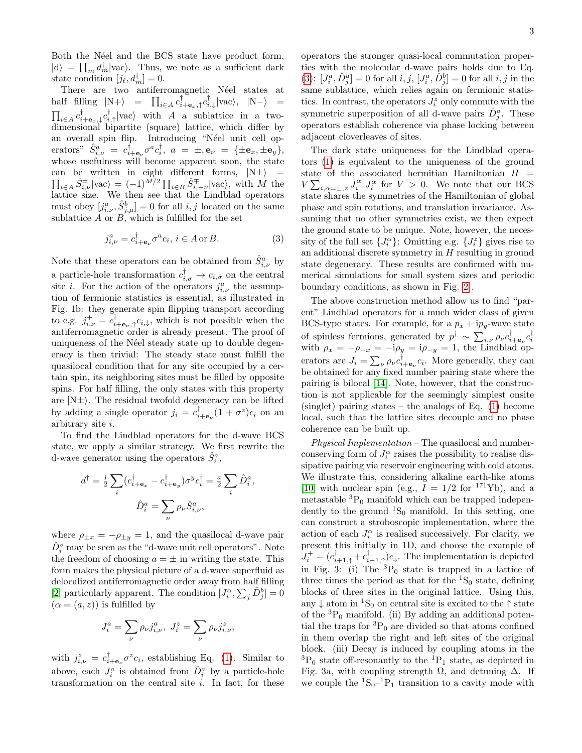Both the Néel and the BCS state have product form,  $|d\rangle = \prod_m d_m^{\dagger} |vac\rangle$ . Thus, we note as a sufficient dark state condition  $[j_{\ell}, d_m^{\dagger}] = 0$ .

There are two antiferromagnetic Néel states at half filling  $|N+\rangle$  =  $\prod_{i\in A} c_{i+\mathbf{e}_x,\uparrow}^{\dagger} c_{i,\downarrow}^{\dagger} |vac\rangle, |N-\rangle$  =  $\prod_{i\in A} c_{i+\mathbf{e}_x,\downarrow}^{\dagger} c_{i,\uparrow}^{\dagger} |\text{vac}\rangle$  with A a sublattice in a twodimensional bipartite (square) lattice, which differ by an overall spin flip. Introducing "Néel unit cell operators"  $\hat{S}^a_{i,\nu} = c^{\dagger}_{i+\mathbf{e}_{\nu}} \sigma^a c^{\dagger}_i$ ,  $a = \pm, \mathbf{e}_{\nu} = {\pm \mathbf{e}_x, \pm \mathbf{e}_y},$ whose usefulness will become apparent soon, the state can be written in eight different forms,  $|N\pm\rangle$  =  $\prod_{i\in A} \hat{S}_{i,\nu}^{\pm} |\text{vac}\rangle = (-1)^{\bar{M}/2} \prod_{i\in B} \hat{S}_{i,-\nu}^{\mp} |\text{vac}\rangle$ , with M the lattice size. We then see that the Lindblad operators must obey  $[j_{i,\nu}^a, \hat{S}_{j,\mu}^b] = 0$  for all  $i, j$  located on the same sublattice  $A$  or  $B$ , which is fulfilled for the set

<span id="page-2-0"></span>
$$
j_{i,\nu}^a = c_{i+\mathbf{e}\nu}^\dagger \sigma^a c_i, \, i \in A \text{ or } B. \tag{3}
$$

Note that these operators can be obtained from  $\hat{S}^a_{i,\nu}$  by a particle-hole transformation  $c_{i,\sigma}^{\dagger} \rightarrow c_{i,\sigma}$  on the central site *i*. For the action of the operators  $j_{i,\nu}^a$  the assumption of fermionic statistics is essential, as illustrated in Fig. 1b: they generate spin flipping transport according to e.g.  $j_{i,\nu}^+ = c_{i+\mathbf{e}_\nu,\uparrow}^{\dagger} c_{i,\downarrow}$ , which is not possible when the antiferromagnetic order is already present. The proof of uniqueness of the Néel steady state up to double degeneracy is then trivial: The steady state must fulfill the quasilocal condition that for any site occupied by a certain spin, its neighboring sites must be filled by opposite spins. For half filling, the only states with this property are  $|N\pm\rangle$ . The residual twofold degeneracy can be lifted by adding a single operator  $j_i = c^{\dagger}_{i+\mathbf{e}_{\nu}}(\mathbf{1} + \sigma^z)c_i$  on an arbitrary site i.

To find the Lindblad operators for the d-wave BCS state, we apply a similar strategy. We first rewrite the d-wave generator using the operators  $\hat{S}_i^a$ ,

$$
\begin{aligned} d^\dagger = \tfrac{\mathrm{i}}{2} \sum_i (c_{i+\mathbf{e}_x}^\dagger - c_{i+\mathbf{e}_y}^\dagger) \sigma^y c_i^\dagger = \tfrac{a}{2} \sum_i \hat{D}_i^a \\ \hat{D}_i^a = \sum_\nu \rho_\nu \hat{S}_{i,\nu}^a, \end{aligned}
$$

,

where  $\rho_{\pm x} = -\rho_{\pm y} = 1$ , and the quasilocal d-wave pair  $\hat{D}^a_i$  may be seen as the "d-wave unit cell operators". Note the freedom of choosing  $a = \pm$  in writing the state. This form makes the physical picture of a d-wave superfluid as delocalized antiferromagnetic order away from half filling [\[2\]](#page-3-2) particularly apparent. The condition  $[J_i^{\alpha}, \sum_j \hat{D}_j^b] = 0$  $(\alpha = (a, z))$  is fulfilled by

$$
J_i^a = \sum_{\nu} \rho_{\nu} j_{i,\nu}^a, \ J_i^z = \sum_{\nu} \rho_{\nu} j_{i,\nu}^z,
$$

with  $j_{i,\nu}^z = c_{i+\mathbf{e}_{\nu}}^{\dagger} \sigma^z c_i$ , establishing Eq. [\(1\)](#page-1-0). Similar to above, each  $J_i^a$  is obtained from  $\hat{D}_i^a$  by a particle-hole transformation on the central site  $i$ . In fact, for these operators the stronger quasi-local commutation properties with the molecular d-wave pairs holds due to Eq. [\(3\)](#page-2-0):  $[J_i^a, \hat{D}_j^a] = 0$  for all  $i, j, [J_i^a, \hat{D}_j^b] = 0$  for all  $i, j$  in the same sublattice, which relies again on fermionic statistics. In contrast, the operators  $J_i^z$  only commute with the symmetric superposition of all d-wave pairs  $\hat{D}_j^a$ . These operators establish coherence via phase locking between adjacent cloverleaves of sites.

The dark state uniqueness for the Lindblad operators [\(1\)](#page-1-0) is equivalent to the uniqueness of the ground state of the associated hermitian Hamiltonian  $H =$  $V\sum_{i,\alpha=\pm,z} J_i^{\alpha\dagger} J_i^{\alpha}$  for  $V > 0$ . We note that our BCS state shares the symmetries of the Hamiltonian of global phase and spin rotations, and translation invariance. Assuming that no other symmetries exist, we then expect the ground state to be unique. Note, however, the necessity of the full set  $\{J_i^{\alpha}\}$ : Omitting e.g.  $\{J_i^z\}$  gives rise to an additional discrete symmetry in  $H$  resulting in ground state degeneracy. These results are confirmed with numerical simulations for small system sizes and periodic boundary conditions, as shown in Fig. [2](#page-1-1) .

The above construction method allow us to find "parent" Lindblad operators for a much wider class of given BCS-type states. For example, for a  $p_x + ip_y$ -wave state of spinless fermions, generated by  $p^{\dagger} \sim \sum_{i,\nu} \rho_{\nu} c_{i+e_{\nu}}^{\dagger} c_{i}^{\dagger}$ <br>with  $\rho_x = -\rho_{-x} = -i\rho_y = i\rho_{-y} = 1$ , the Lindblad operators are  $J_i = \sum_{\nu} \rho_{\nu} c_{i+1}^{\dagger} c_i$ . More generally, they can be obtained for any fixed number pairing state where the pairing is bilocal [\[14\]](#page-4-1). Note, however, that the construction is not applicable for the seemingly simplest onsite  $(singlet)$  pairing states – the analogs of Eq.  $(1)$  become local, such that the lattice sites decouple and no phase coherence can be built up.

Physical Implementation – The quasilocal and numberconserving form of  $J_i^{\alpha}$  raises the possibility to realise dissipative pairing via reservoir engineering with cold atoms. We illustrate this, considering alkaline earth-like atoms [\[10\]](#page-3-10) with nuclear spin (e.g.,  $I = 1/2$  for <sup>171</sup>Yb), and a metastable  ${}^{3}P_0$  manifold which can be trapped independently to the ground  ${}^{1}S_{0}$  manifold. In this setting, one can construct a stroboscopic implementation, where the action of each  $J_i^{\alpha}$  is realised successively. For clarity, we present this initially in 1D, and choose the example of  $J_i^+ = (c_{i+1,\uparrow}^{\dagger} + c_{i-1,\uparrow}^{\dagger})c_{\downarrow}$ . The implementation is depicted in Fig. 3: (i) The  ${}^{3}P_0$  state is trapped in a lattice of three times the period as that for the  ${}^{1}S_{0}$  state, defining blocks of three sites in the original lattice. Using this, any  $\downarrow$  atom in <sup>1</sup>S<sub>0</sub> on central site is excited to the  $\uparrow$  state of the  ${}^{3}P_0$  manifold. (ii) By adding an additional potential the traps for  ${}^{3}P_0$  are divided so that atoms confined in them overlap the right and left sites of the original block. (iii) Decay is induced by coupling atoms in the  ${}^{3}P_0$  state off-resonantly to the  ${}^{1}P_1$  state, as depicted in Fig. 3a, with coupling strength  $\Omega$ , and detuning  $\Delta$ . If we couple the  ${}^{1}S_{0}$ - ${}^{1}P_{1}$  transition to a cavity mode with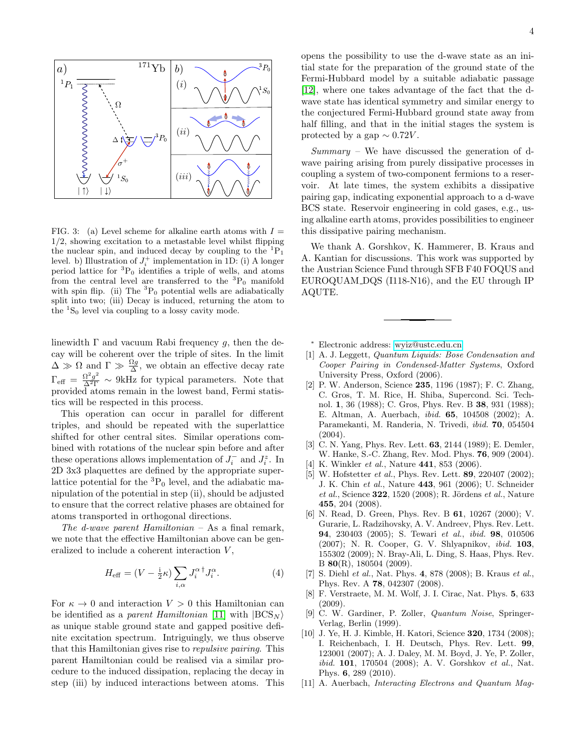

FIG. 3: (a) Level scheme for alkaline earth atoms with  $I =$  $1/2$ , showing excitation to a metastable level whilst flipping the nuclear spin, and induced decay by coupling to the  ${}^{1}P_1$ level. b) Illustration of  $J_i^+$  implementation in 1D: (i) A longer period lattice for  ${}^{3}P_0$  identifies a triple of wells, and atoms from the central level are transferred to the  ${}^{3}P_0$  manifold with spin flip. (ii) The  ${}^{3}P_0$  potential wells are adiabatically split into two; (iii) Decay is induced, returning the atom to the  ${}^{1}S_{0}$  level via coupling to a lossy cavity mode.

linewidth  $\Gamma$  and vacuum Rabi frequency g, then the decay will be coherent over the triple of sites. In the limit  $\Delta \gg \Omega$  and  $\Gamma \gg \frac{\Omega g}{\Delta}$ , we obtain an effective decay rate  $\Gamma_{\text{eff}} = \frac{\Omega^2 g^2}{\Delta^2 \Gamma} \sim 9 \text{kHz}$  for typical parameters. Note that provided atoms remain in the lowest band, Fermi statistics will be respected in this process.

This operation can occur in parallel for different triples, and should be repeated with the superlattice shifted for other central sites. Similar operations combined with rotations of the nuclear spin before and after these operations allows implementation of  $J_i^-$  and  $J_i^z$ . In 2D 3x3 plaquettes are defined by the appropriate superlattice potential for the  ${}^{3}P_{0}$  level, and the adiabatic manipulation of the potential in step (ii), should be adjusted to ensure that the correct relative phases are obtained for atoms transported in orthogonal directions.

The d-wave parent Hamiltonian  $-$  As a final remark, we note that the effective Hamiltonian above can be generalized to include a coherent interaction V ,

$$
H_{\text{eff}} = (V - \frac{1}{2}\kappa) \sum_{i,\alpha} J_i^{\alpha \dagger} J_i^{\alpha}.
$$
 (4)

For  $\kappa \to 0$  and interaction  $V > 0$  this Hamiltonian can be identified as a parent Hamiltonian [\[11\]](#page-3-11) with  $|BCS_N\rangle$ as unique stable ground state and gapped positive definite excitation spectrum. Intriguingly, we thus observe that this Hamiltonian gives rise to repulsive pairing. This parent Hamiltonian could be realised via a similar procedure to the induced dissipation, replacing the decay in step (iii) by induced interactions between atoms. This

4

tial state for the preparation of the ground state of the Fermi-Hubbard model by a suitable adiabatic passage [\[12\]](#page-4-2), where one takes advantage of the fact that the dwave state has identical symmetry and similar energy to the conjectured Fermi-Hubbard ground state away from half filling, and that in the initial stages the system is protected by a gap  $\sim 0.72V$ .

Summary – We have discussed the generation of dwave pairing arising from purely dissipative processes in coupling a system of two-component fermions to a reservoir. At late times, the system exhibits a dissipative pairing gap, indicating exponential approach to a d-wave BCS state. Reservoir engineering in cold gases, e.g., using alkaline earth atoms, provides possibilities to engineer this dissipative pairing mechanism.

We thank A. Gorshkov, K. Hammerer, B. Kraus and A. Kantian for discussions. This work was supported by the Austrian Science Fund through SFB F40 FOQUS and EUROQUAM DQS (I118-N16), and the EU through IP AQUTE.

<span id="page-3-0"></span><sup>∗</sup> Electronic address: [wyiz@ustc.edu.cn](mailto:wyiz@ustc.edu.cn)

- <span id="page-3-1"></span>[1] A. J. Leggett, Quantum Liquids: Bose Condensation and Cooper Pairing in Condensed-Matter Systems, Oxford University Press, Oxford (2006).
- <span id="page-3-2"></span>[2] P. W. Anderson, Science 235, 1196 (1987); F. C. Zhang, C. Gros, T. M. Rice, H. Shiba, Supercond. Sci. Technol. 1, 36 (1988); C. Gros, Phys. Rev. B 38, 931 (1988); E. Altman, A. Auerbach, ibid. 65, 104508 (2002); A. Paramekanti, M. Randeria, N. Trivedi, ibid. 70, 054504 (2004).
- <span id="page-3-3"></span>[3] C. N. Yang, Phys. Rev. Lett. **63**, 2144 (1989); E. Demler, W. Hanke, S.-C. Zhang, Rev. Mod. Phys. 76, 909 (2004).
- <span id="page-3-4"></span>[4] K. Winkler et al., Nature **441**, 853 (2006).
- <span id="page-3-5"></span>[5] W. Hofstetter *et al.*, Phys. Rev. Lett. **89**, 220407 (2002); J. K. Chin et al., Nature 443, 961 (2006); U. Schneider  $et al., Science$  322, 1520 (2008); R. Jördens  $et al., Nature$ 455, 204 (2008).
- <span id="page-3-6"></span>[6] N. Read, D. Green, Phys. Rev. B 61, 10267 (2000); V. Gurarie, L. Radzihovsky, A. V. Andreev, Phys. Rev. Lett. 94, 230403 (2005); S. Tewari et al., ibid. 98, 010506 (2007); N. R. Cooper, G. V. Shlyapnikov, ibid. 103, 155302 (2009); N. Bray-Ali, L. Ding, S. Haas, Phys. Rev. B 80(R), 180504 (2009).
- <span id="page-3-7"></span>[7] S. Diehl et al., Nat. Phys. 4, 878 (2008); B. Kraus et al., Phys. Rev. A 78, 042307 (2008).
- <span id="page-3-8"></span>[8] F. Verstraete, M. M. Wolf, J. I. Cirac, Nat. Phys. 5, 633 (2009).
- <span id="page-3-9"></span>[9] C. W. Gardiner, P. Zoller, Quantum Noise, Springer-Verlag, Berlin (1999).
- <span id="page-3-10"></span>[10] J. Ye, H. J. Kimble, H. Katori, Science 320, 1734 (2008): I. Reichenbach, I. H. Deutsch, Phys. Rev. Lett. 99, 123001 (2007); A. J. Daley, M. M. Boyd, J. Ye, P. Zoller, ibid. 101, 170504 (2008); A. V. Gorshkov et al., Nat. Phys. 6, 289 (2010).
- <span id="page-3-11"></span>[11] A. Auerbach, Interacting Electrons and Quantum Mag-